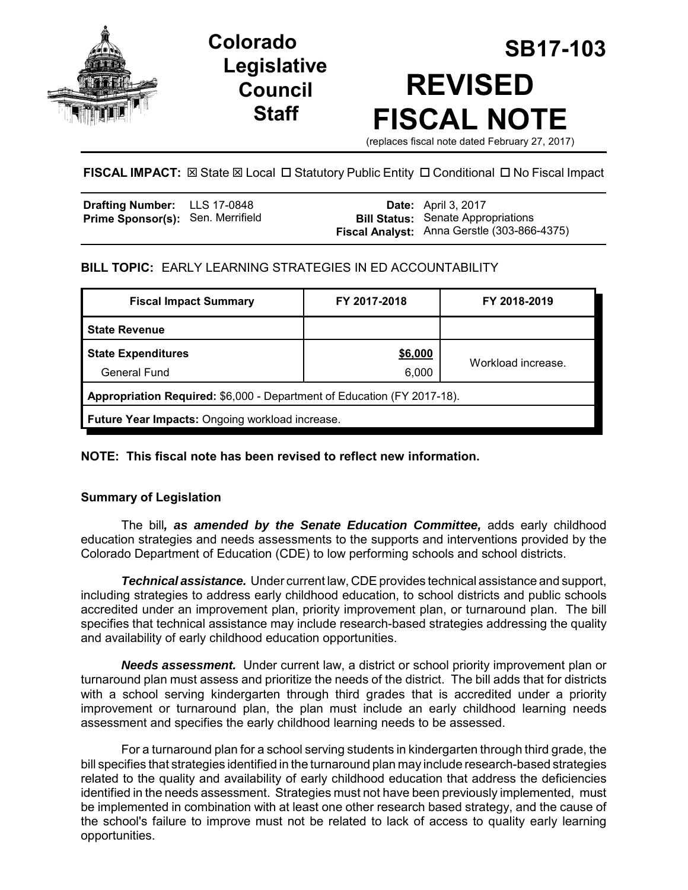

# **Legislative Council Staff**

# **SB17-103 Colorado REVISED FISCAL NOTE**

(replaces fiscal note dated February 27, 2017)

## **FISCAL IMPACT:**  $\boxtimes$  **State**  $\boxtimes$  **Local □ Statutory Public Entity □ Conditional □ No Fiscal Impact**

| Drafting Number: LLS 17-0848             |  | <b>Date:</b> April 3, 2017                                                               |
|------------------------------------------|--|------------------------------------------------------------------------------------------|
| <b>Prime Sponsor(s): Sen. Merrifield</b> |  | <b>Bill Status:</b> Senate Appropriations<br>Fiscal Analyst: Anna Gerstle (303-866-4375) |
|                                          |  |                                                                                          |

## **BILL TOPIC:** EARLY LEARNING STRATEGIES IN ED ACCOUNTABILITY

| <b>Fiscal Impact Summary</b>                                            | FY 2017-2018 | FY 2018-2019       |  |  |  |
|-------------------------------------------------------------------------|--------------|--------------------|--|--|--|
| <b>State Revenue</b>                                                    |              |                    |  |  |  |
| <b>State Expenditures</b>                                               | \$6,000      | Workload increase. |  |  |  |
| <b>General Fund</b>                                                     | 6,000        |                    |  |  |  |
| Appropriation Required: \$6,000 - Department of Education (FY 2017-18). |              |                    |  |  |  |
| Future Year Impacts: Ongoing workload increase.                         |              |                    |  |  |  |

#### **NOTE: This fiscal note has been revised to reflect new information.**

#### **Summary of Legislation**

The bill*, as amended by the Senate Education Committee,* adds early childhood education strategies and needs assessments to the supports and interventions provided by the Colorado Department of Education (CDE) to low performing schools and school districts.

*Technical assistance.* Under current law, CDE provides technical assistance and support, including strategies to address early childhood education, to school districts and public schools accredited under an improvement plan, priority improvement plan, or turnaround plan. The bill specifies that technical assistance may include research-based strategies addressing the quality and availability of early childhood education opportunities.

*Needs assessment.* Under current law, a district or school priority improvement plan or turnaround plan must assess and prioritize the needs of the district. The bill adds that for districts with a school serving kindergarten through third grades that is accredited under a priority improvement or turnaround plan, the plan must include an early childhood learning needs assessment and specifies the early childhood learning needs to be assessed.

For a turnaround plan for a school serving students in kindergarten through third grade, the bill specifies that strategies identified in the turnaround plan may include research-based strategies related to the quality and availability of early childhood education that address the deficiencies identified in the needs assessment. Strategies must not have been previously implemented, must be implemented in combination with at least one other research based strategy, and the cause of the school's failure to improve must not be related to lack of access to quality early learning opportunities.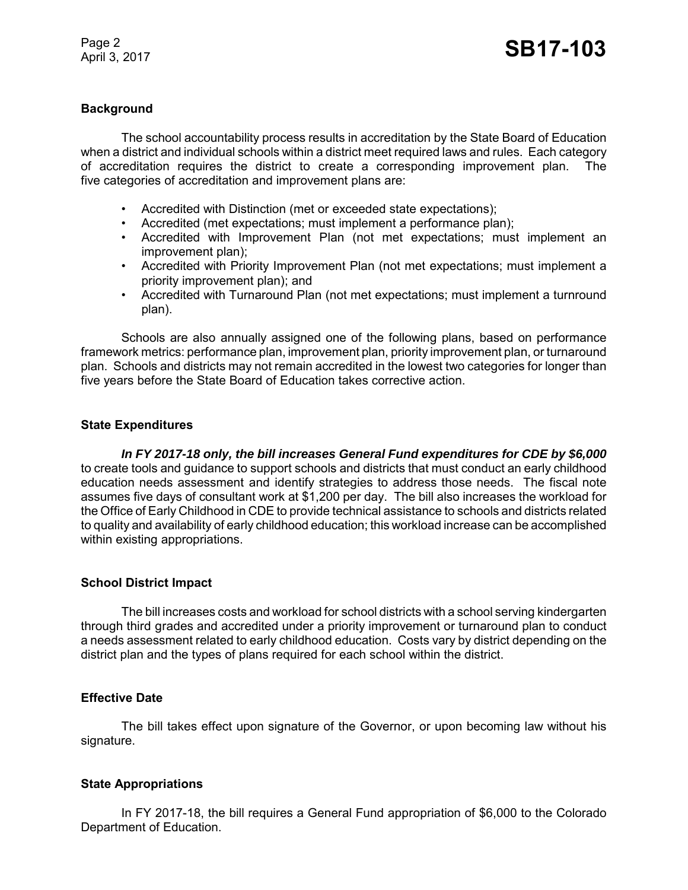#### **Background**

The school accountability process results in accreditation by the State Board of Education when a district and individual schools within a district meet required laws and rules. Each category of accreditation requires the district to create a corresponding improvement plan. The five categories of accreditation and improvement plans are:

- Accredited with Distinction (met or exceeded state expectations);
- Accredited (met expectations; must implement a performance plan);
- Accredited with Improvement Plan (not met expectations; must implement an improvement plan);
- Accredited with Priority Improvement Plan (not met expectations; must implement a priority improvement plan); and
- Accredited with Turnaround Plan (not met expectations; must implement a turnround plan).

Schools are also annually assigned one of the following plans, based on performance framework metrics: performance plan, improvement plan, priority improvement plan, or turnaround plan. Schools and districts may not remain accredited in the lowest two categories for longer than five years before the State Board of Education takes corrective action.

#### **State Expenditures**

*In FY 2017-18 only, the bill increases General Fund expenditures for CDE by \$6,000* to create tools and guidance to support schools and districts that must conduct an early childhood education needs assessment and identify strategies to address those needs. The fiscal note assumes five days of consultant work at \$1,200 per day. The bill also increases the workload for the Office of Early Childhood in CDE to provide technical assistance to schools and districts related to quality and availability of early childhood education; this workload increase can be accomplished within existing appropriations.

#### **School District Impact**

The bill increases costs and workload for school districts with a school serving kindergarten through third grades and accredited under a priority improvement or turnaround plan to conduct a needs assessment related to early childhood education. Costs vary by district depending on the district plan and the types of plans required for each school within the district.

#### **Effective Date**

The bill takes effect upon signature of the Governor, or upon becoming law without his signature.

#### **State Appropriations**

In FY 2017-18, the bill requires a General Fund appropriation of \$6,000 to the Colorado Department of Education.